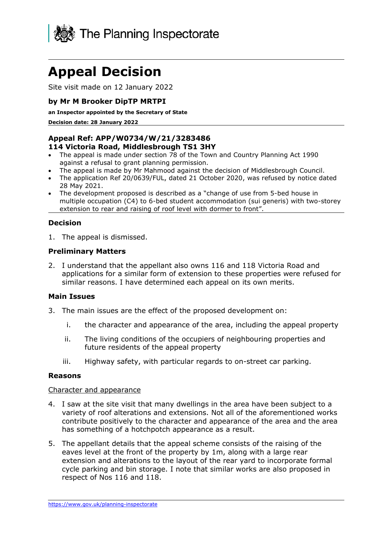

# **Appeal Decision**

Site visit made on 12 January 2022

## **by Mr M Brooker DipTP MRTPI**

#### **an Inspector appointed by the Secretary of State**

**Decision date: 28 January 2022**

#### **Appeal Ref: APP/W0734/W/21/3283486 114 Victoria Road, Middlesbrough TS1 3HY**

- The appeal is made under section 78 of the Town and Country Planning Act 1990 against a refusal to grant planning permission.
- The appeal is made by Mr Mahmood against the decision of Middlesbrough Council.
- The application Ref 20/0639/FUL, dated 21 October 2020, was refused by notice dated 28 May 2021.
- The development proposed is described as a "change of use from 5-bed house in multiple occupation (C4) to 6-bed student accommodation (sui generis) with two-storey extension to rear and raising of roof level with dormer to front".

## **Decision**

1. The appeal is dismissed.

## **Preliminary Matters**

2. I understand that the appellant also owns 116 and 118 Victoria Road and applications for a similar form of extension to these properties were refused for similar reasons. I have determined each appeal on its own merits.

## **Main Issues**

- 3. The main issues are the effect of the proposed development on:
	- i. the character and appearance of the area, including the appeal property
	- ii. The living conditions of the occupiers of neighbouring properties and future residents of the appeal property
	- iii. Highway safety, with particular regards to on-street car parking.

#### **Reasons**

#### Character and appearance

- 4. I saw at the site visit that many dwellings in the area have been subject to a variety of roof alterations and extensions. Not all of the aforementioned works contribute positively to the character and appearance of the area and the area has something of a hotchpotch appearance as a result.
- 5. The appellant details that the appeal scheme consists of the raising of the eaves level at the front of the property by 1m, along with a large rear extension and alterations to the layout of the rear yard to incorporate formal cycle parking and bin storage. I note that similar works are also proposed in respect of Nos 116 and 118.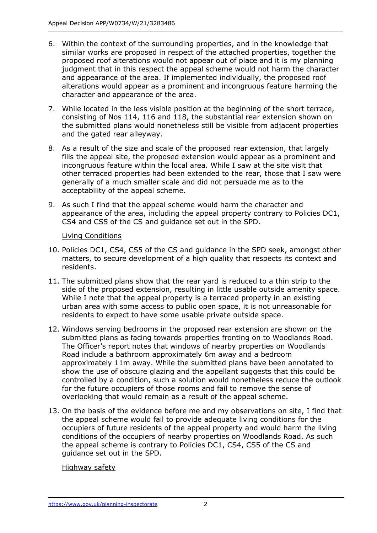- 6. Within the context of the surrounding properties, and in the knowledge that similar works are proposed in respect of the attached properties, together the proposed roof alterations would not appear out of place and it is my planning judgment that in this respect the appeal scheme would not harm the character and appearance of the area. If implemented individually, the proposed roof alterations would appear as a prominent and incongruous feature harming the character and appearance of the area.
- 7. While located in the less visible position at the beginning of the short terrace, consisting of Nos 114, 116 and 118, the substantial rear extension shown on the submitted plans would nonetheless still be visible from adjacent properties and the gated rear alleyway.
- 8. As a result of the size and scale of the proposed rear extension, that largely fills the appeal site, the proposed extension would appear as a prominent and incongruous feature within the local area. While I saw at the site visit that other terraced properties had been extended to the rear, those that I saw were generally of a much smaller scale and did not persuade me as to the acceptability of the appeal scheme.
- 9. As such I find that the appeal scheme would harm the character and appearance of the area, including the appeal property contrary to Policies DC1, CS4 and CS5 of the CS and guidance set out in the SPD.

## Living Conditions

- 10. Policies DC1, CS4, CS5 of the CS and guidance in the SPD seek, amongst other matters, to secure development of a high quality that respects its context and residents.
- 11. The submitted plans show that the rear yard is reduced to a thin strip to the side of the proposed extension, resulting in little usable outside amenity space. While I note that the appeal property is a terraced property in an existing urban area with some access to public open space, it is not unreasonable for residents to expect to have some usable private outside space.
- 12. Windows serving bedrooms in the proposed rear extension are shown on the submitted plans as facing towards properties fronting on to Woodlands Road. The Officer's report notes that windows of nearby properties on Woodlands Road include a bathroom approximately 6m away and a bedroom approximately 11m away. While the submitted plans have been annotated to show the use of obscure glazing and the appellant suggests that this could be controlled by a condition, such a solution would nonetheless reduce the outlook for the future occupiers of those rooms and fail to remove the sense of overlooking that would remain as a result of the appeal scheme.
- 13. On the basis of the evidence before me and my observations on site, I find that the appeal scheme would fail to provide adequate living conditions for the occupiers of future residents of the appeal property and would harm the living conditions of the occupiers of nearby properties on Woodlands Road. As such the appeal scheme is contrary to Policies DC1, CS4, CS5 of the CS and guidance set out in the SPD.

## Highway safety